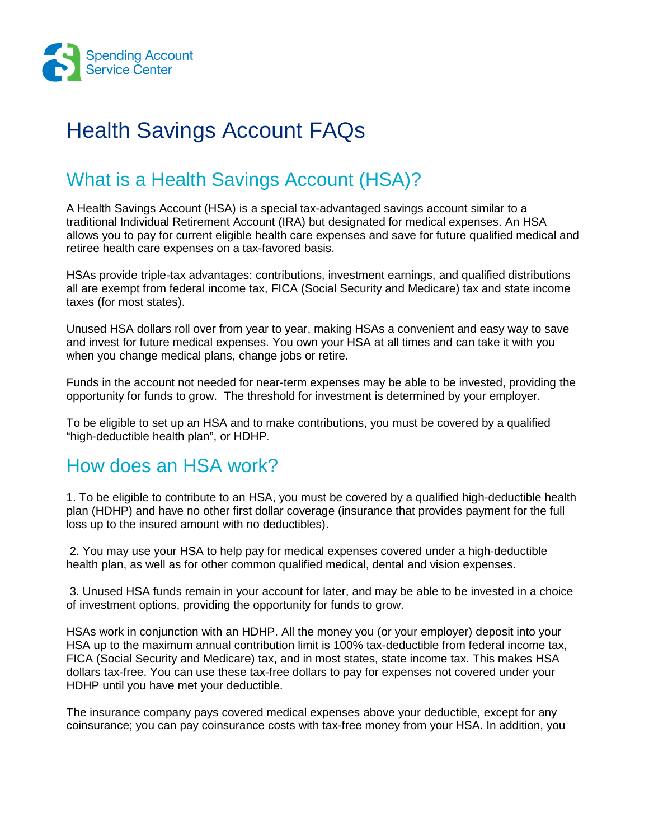

# Health Savings Account FAQs

## What is a Health Savings Account (HSA)?

A Health Savings Account (HSA) is a special tax-advantaged savings account similar to a traditional Individual Retirement Account (IRA) but designated for medical expenses. An HSA allows you to pay for current eligible health care expenses and save for future qualified medical and retiree health care expenses on a tax-favored basis.

HSAs provide triple-tax advantages: contributions, investment earnings, and qualified distributions all are exempt from federal income tax, FICA (Social Security and Medicare) tax and state income taxes (for most states).

Unused HSA dollars roll over from year to year, making HSAs a convenient and easy way to save and invest for future medical expenses. You own your HSA at all times and can take it with you when you change medical plans, change jobs or retire.

Funds in the account not needed for near-term expenses may be able to be invested, providing the opportunity for funds to grow. The threshold for investment is determined by your employer.

To be eligible to set up an HSA and to make contributions, you must be covered by a qualified "high-deductible health plan", or HDHP.

#### How does an HSA work?

1. To be eligible to contribute to an HSA, you must be covered by a qualified high-deductible health plan (HDHP) and have no other first dollar coverage (insurance that provides payment for the full loss up to the insured amount with no deductibles).

 2. You may use your HSA to help pay for medical expenses covered under a high-deductible health plan, as well as for other common qualified medical, dental and vision expenses.

 3. Unused HSA funds remain in your account for later, and may be able to be invested in a choice of investment options, providing the opportunity for funds to grow.

HSAs work in conjunction with an HDHP. All the money you (or your employer) deposit into your HSA up to the maximum annual contribution limit is 100% tax-deductible from federal income tax, FICA (Social Security and Medicare) tax, and in most states, state income tax. This makes HSA dollars tax-free. You can use these tax-free dollars to pay for expenses not covered under your HDHP until you have met your deductible.

The insurance company pays covered medical expenses above your deductible, except for any coinsurance; you can pay coinsurance costs with tax-free money from your HSA. In addition, you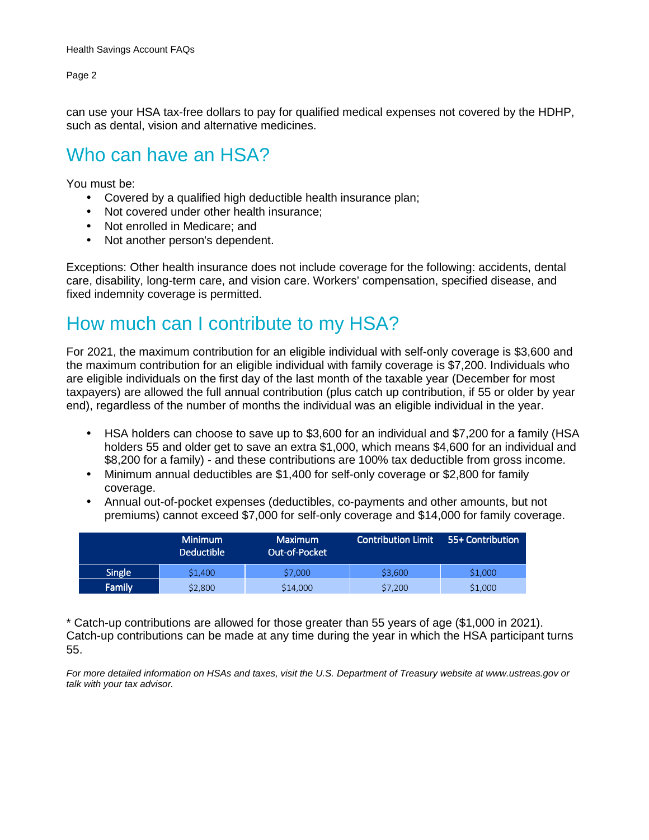can use your HSA tax-free dollars to pay for qualified medical expenses not covered by the HDHP, such as dental, vision and alternative medicines.

### Who can have an HSA?

You must be:

- Covered by a qualified high deductible health insurance plan;
- Not covered under other health insurance;
- Not enrolled in Medicare; and
- Not another person's dependent.

Exceptions: Other health insurance does not include coverage for the following: accidents, dental care, disability, long-term care, and vision care. Workers' compensation, specified disease, and fixed indemnity coverage is permitted.

## How much can I contribute to my HSA?

For 2021, the maximum contribution for an eligible individual with self-only coverage is \$3,600 and the maximum contribution for an eligible individual with family coverage is \$7,200. Individuals who are eligible individuals on the first day of the last month of the taxable year (December for most taxpayers) are allowed the full annual contribution (plus catch up contribution, if 55 or older by year end), regardless of the number of months the individual was an eligible individual in the year.

- HSA holders can choose to save up to \$3,600 for an individual and \$7,200 for a family (HSA holders 55 and older get to save an extra \$1,000, which means \$4,600 for an individual and \$8,200 for a family) - and these contributions are 100% tax deductible from gross income.
- Minimum annual deductibles are \$1,400 for self-only coverage or \$2,800 for family coverage.
- Annual out-of-pocket expenses (deductibles, co-payments and other amounts, but not premiums) cannot exceed \$7,000 for self-only coverage and \$14,000 for family coverage.

|               | <b>Minimum</b><br><b>Deductible</b> | <b>Maximum</b><br>l Out-of-Pocket ' | Contribution Limit | 55+ Contribution |
|---------------|-------------------------------------|-------------------------------------|--------------------|------------------|
| <b>Single</b> | \$1,400                             | \$7,000                             | \$3,600            | \$1,000          |
| Family        | \$2,800                             | \$14,000                            | \$7,200            | \$1,000          |

\* Catch-up contributions are allowed for those greater than 55 years of age (\$1,000 in 2021). Catch-up contributions can be made at any time during the year in which the HSA participant turns 55.

For more detailed information on HSAs and taxes, visit the U.S. Department of Treasury website at www.ustreas.gov or talk with your tax advisor.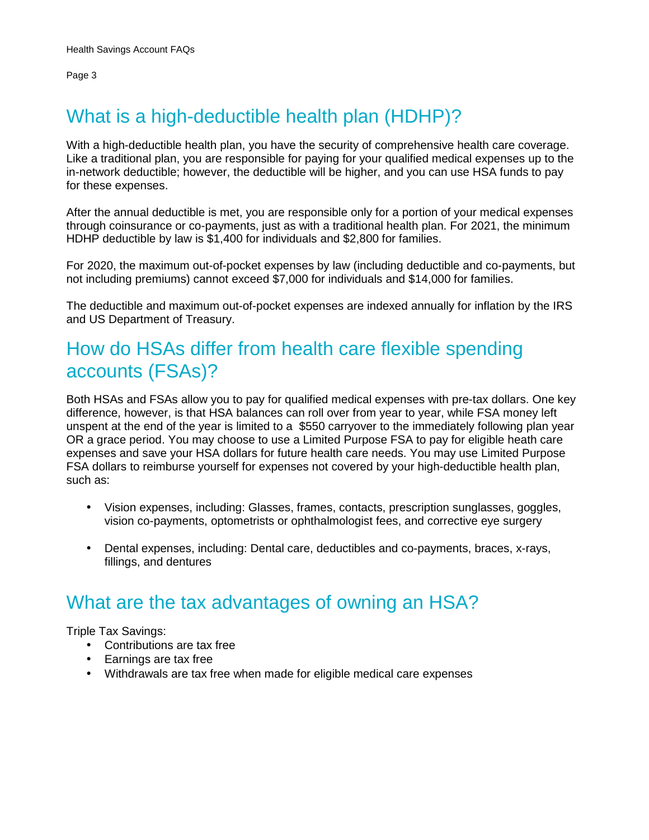# What is a high-deductible health plan (HDHP)?

With a high-deductible health plan, you have the security of comprehensive health care coverage. Like a traditional plan, you are responsible for paying for your qualified medical expenses up to the in-network deductible; however, the deductible will be higher, and you can use HSA funds to pay for these expenses.

After the annual deductible is met, you are responsible only for a portion of your medical expenses through coinsurance or co-payments, just as with a traditional health plan. For 2021, the minimum HDHP deductible by law is \$1,400 for individuals and \$2,800 for families.

For 2020, the maximum out-of-pocket expenses by law (including deductible and co-payments, but not including premiums) cannot exceed \$7,000 for individuals and \$14,000 for families.

The deductible and maximum out-of-pocket expenses are indexed annually for inflation by the IRS and US Department of Treasury.

## How do HSAs differ from health care flexible spending accounts (FSAs)?

Both HSAs and FSAs allow you to pay for qualified medical expenses with pre-tax dollars. One key difference, however, is that HSA balances can roll over from year to year, while FSA money left unspent at the end of the year is limited to a \$550 carryover to the immediately following plan year OR a grace period. You may choose to use a Limited Purpose FSA to pay for eligible heath care expenses and save your HSA dollars for future health care needs. You may use Limited Purpose FSA dollars to reimburse yourself for expenses not covered by your high-deductible health plan, such as:

- Vision expenses, including: Glasses, frames, contacts, prescription sunglasses, goggles, vision co-payments, optometrists or ophthalmologist fees, and corrective eye surgery
- Dental expenses, including: Dental care, deductibles and co-payments, braces, x-rays, fillings, and dentures

### What are the tax advantages of owning an HSA?

Triple Tax Savings:

- Contributions are tax free
- Earnings are tax free
- Withdrawals are tax free when made for eligible medical care expenses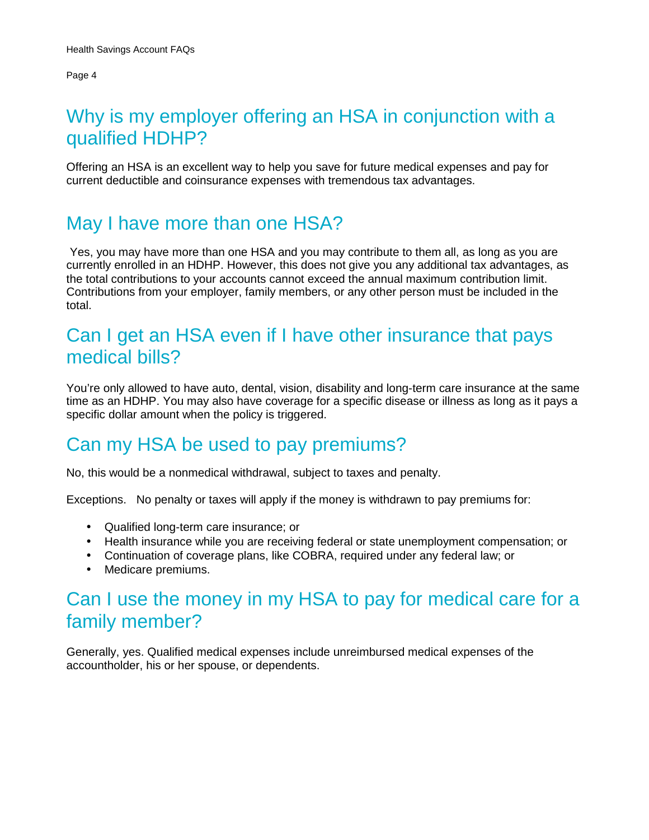## Why is my employer offering an HSA in conjunction with a qualified HDHP?

Offering an HSA is an excellent way to help you save for future medical expenses and pay for current deductible and coinsurance expenses with tremendous tax advantages.

#### May I have more than one HSA?

Yes, you may have more than one HSA and you may contribute to them all, as long as you are currently enrolled in an HDHP. However, this does not give you any additional tax advantages, as the total contributions to your accounts cannot exceed the annual maximum contribution limit. Contributions from your employer, family members, or any other person must be included in the total.

## Can I get an HSA even if I have other insurance that pays medical bills?

You're only allowed to have auto, dental, vision, disability and long-term care insurance at the same time as an HDHP. You may also have coverage for a specific disease or illness as long as it pays a specific dollar amount when the policy is triggered.

### Can my HSA be used to pay premiums?

No, this would be a nonmedical withdrawal, subject to taxes and penalty.

Exceptions. No penalty or taxes will apply if the money is withdrawn to pay premiums for:

- Qualified long-term care insurance; or
- Health insurance while you are receiving federal or state unemployment compensation; or
- Continuation of coverage plans, like COBRA, required under any federal law; or
- Medicare premiums.

### Can I use the money in my HSA to pay for medical care for a family member?

Generally, yes. Qualified medical expenses include unreimbursed medical expenses of the accountholder, his or her spouse, or dependents.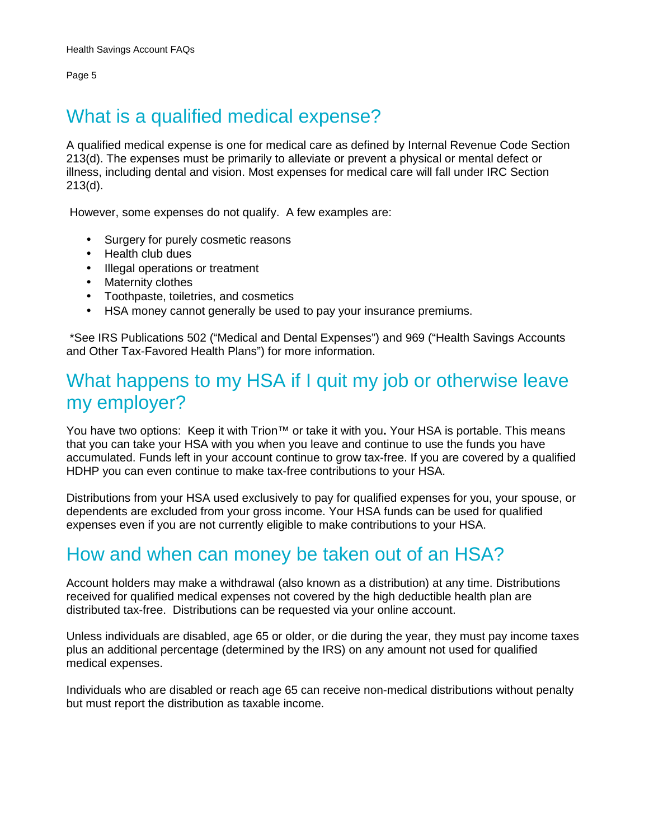## What is a qualified medical expense?

A qualified medical expense is one for medical care as defined by Internal Revenue Code Section 213(d). The expenses must be primarily to alleviate or prevent a physical or mental defect or illness, including dental and vision. Most expenses for medical care will fall under IRC Section 213(d).

However, some expenses do not qualify. A few examples are:

- Surgery for purely cosmetic reasons
- Health club dues
- Illegal operations or treatment
- Maternity clothes
- Toothpaste, toiletries, and cosmetics
- HSA money cannot generally be used to pay your insurance premiums.

 \*See IRS Publications 502 ("Medical and Dental Expenses") and 969 ("Health Savings Accounts and Other Tax-Favored Health Plans") for more information.

#### What happens to my HSA if I quit my job or otherwise leave my employer?

You have two options: Keep it with Trion™ or take it with you**.** Your HSA is portable. This means that you can take your HSA with you when you leave and continue to use the funds you have accumulated. Funds left in your account continue to grow tax-free. If you are covered by a qualified HDHP you can even continue to make tax-free contributions to your HSA.

Distributions from your HSA used exclusively to pay for qualified expenses for you, your spouse, or dependents are excluded from your gross income. Your HSA funds can be used for qualified expenses even if you are not currently eligible to make contributions to your HSA.

#### How and when can money be taken out of an HSA?

Account holders may make a withdrawal (also known as a distribution) at any time. Distributions received for qualified medical expenses not covered by the high deductible health plan are distributed tax-free. Distributions can be requested via your online account.

Unless individuals are disabled, age 65 or older, or die during the year, they must pay income taxes plus an additional percentage (determined by the IRS) on any amount not used for qualified medical expenses.

Individuals who are disabled or reach age 65 can receive non-medical distributions without penalty but must report the distribution as taxable income.